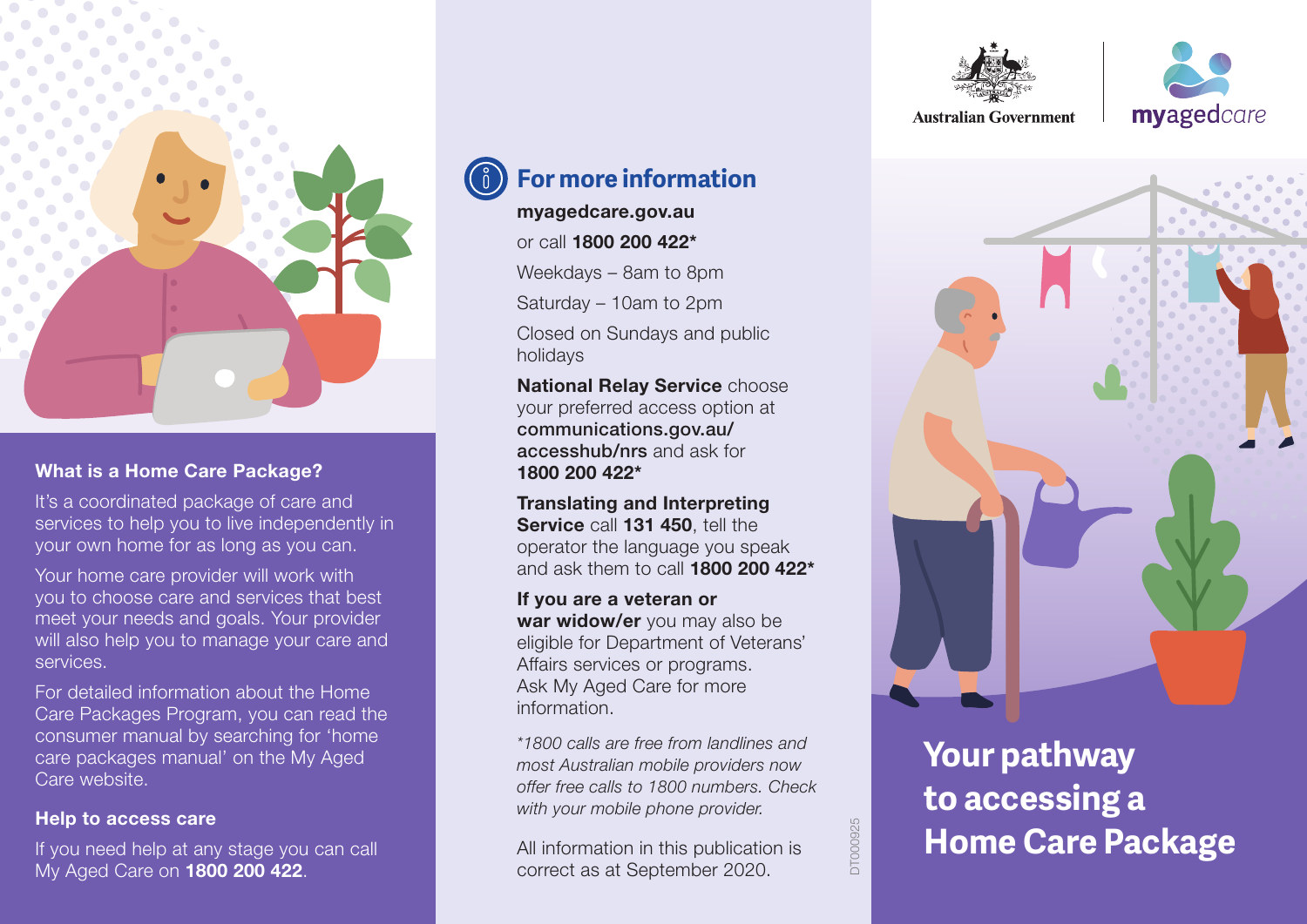

## What is a Home Care Package?

It's a coordinated package of care and services to help you to live independently in your own home for as long as you can.

Your home care provider will work with you to choose care and services that best meet your needs and goals. Your provider will also help you to manage your care and services.

For detailed information about the Home Care Packages Program, you can read the consumer manual by searching for 'home care packages manual' on the My Aged Care website.

## Help to access care

If you need help at any stage you can call My Aged Care on 1800 200 422.

**For more information** 

[myagedcare.gov.au](http://myagedcare.gov.au)

or call 1800 200 422\*

Weekdays – 8am to 8pm

Saturday – 10am to 2pm

Closed on Sundays and public holidays

**National Relay Service choose** your preferred access option at [communications.gov.au/](http://communications.gov.au/accesshub/nrs) [accesshub/nrs](http://communications.gov.au/accesshub/nrs) and ask for 1800 200 422\*

Translating and Interpreting Service call 131 450, tell the operator the language you speak and ask them to call 1800 200 422\*

If you are a veteran or war widow/er you may also be eligible for Department of Veterans' Affairs services or programs. Ask My Aged Care for more information.

*\*1800 calls are free from landlines and most Australian mobile providers now offer free calls to 1800 numbers. Check with your mobile phone provider.*

All information in this publication is correct as at September 2020.

DT000925

DT000925







**Your pathway to accessing a Home Care Package**